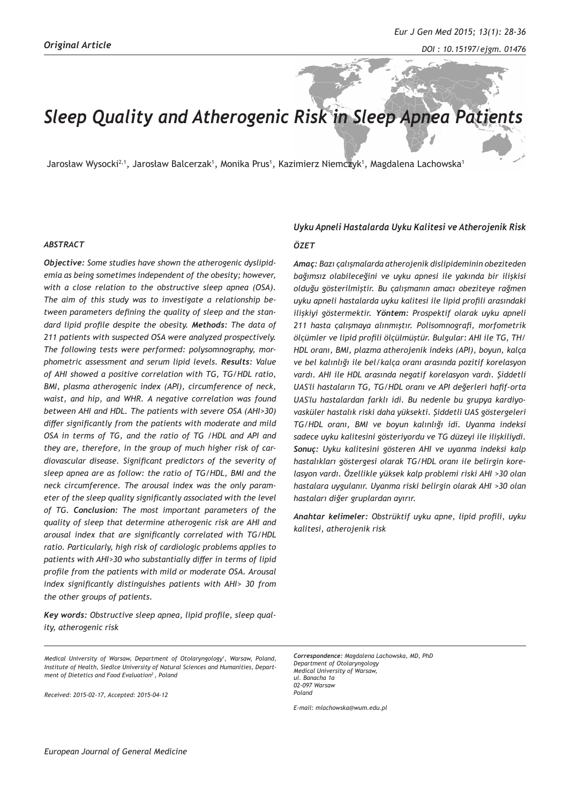# *Sleep Quality and Atherogenic Risk in Sleep Apnea Patients*

Jarosław Wysocki<sup>2, 1</sup>, Jarosław Balcerzak<sup>1</sup>, Monika Prus<sup>1</sup>, Kazimierz Niemczyk<sup>1</sup>, Magdalena Lachowska<sup>1</sup>

#### *ABSTRACT*

*Objective: Some studies have shown the atherogenic dyslipidemia as being sometimes independent of the obesity; however, with a close relation to the obstructive sleep apnea (OSA). The aim of this study was to investigate a relationship between parameters defining the quality of sleep and the standard lipid profile despite the obesity. Methods: The data of 211 patients with suspected OSA were analyzed prospectively. The following tests were performed: polysomnography, morphometric assessment and serum lipid levels. Results: Value of AHI showed a positive correlation with TG, TG/HDL ratio, BMI, plasma atherogenic index (API), circumference of neck, waist, and hip, and WHR. A negative correlation was found between AHI and HDL. The patients with severe OSA (AHI>30) differ significantly from the patients with moderate and mild OSA in terms of TG, and the ratio of TG /HDL and API and they are, therefore, in the group of much higher risk of cardiovascular disease. Significant predictors of the severity of sleep apnea are as follow: the ratio of TG/HDL, BMI and the neck circumference. The arousal index was the only parameter of the sleep quality significantly associated with the level of TG. Conclusion: The most important parameters of the quality of sleep that determine atherogenic risk are AHI and arousal index that are significantly correlated with TG/HDL ratio. Particularly, high risk of cardiologic problems applies to patients with AHI>30 who substantially differ in terms of lipid profile from the patients with mild or moderate OSA. Arousal index significantly distinguishes patients with AHI> 30 from the other groups of patients.* 

*Key words: Obstructive sleep apnea, lipid profile, sleep quality, atherogenic risk*

*Medical University of Warsaw, Department of Otolaryngology1 , Warsaw, Poland, Institute of Health, Siedlce University of Natural Sciences and Humanities, Department of Dietetics and Food Evaluation2 , Poland*

#### *Received: 2015-02-17, Accepted: 2015-04-12*

#### *Uyku Apneli Hastalarda Uyku Kalitesi ve Atherojenik Risk*

#### *ÖZET*

*Amaç: Bazı çalışmalarda atherojenik dislipideminin obeziteden bağımsız olabileceğini ve uyku apnesi ile yakında bir ilişkisi olduğu gösterilmiştir. Bu çalışmanın amacı obeziteye rağmen uyku apneli hastalarda uyku kalitesi ile lipid profili arasındaki ilişkiyi göstermektir. Yöntem: Prospektif olarak uyku apneli 211 hasta çalışmaya alınmıştır. Polisomnografi, morfometrik ölçümler ve lipid profili ölçülmüştür. Bulgular: AHI ile TG, TH/ HDL oranı, BMI, plazma atherojenik indeks (API), boyun, kalça ve bel kalınlığı ile bel/kalça oranı arasında pozitif korelasyon vardı. AHI ile HDL arasında negatif korelasyon vardı. Şiddetli UAS'li hastaların TG, TG/HDL oranı ve API değerleri hafif-orta UAS'lu hastalardan farklı idi. Bu nedenle bu grupya kardiyovasküler hastalık riski daha yüksekti. Şiddetli UAS göstergeleri TG/HDL oranı, BMI ve boyun kalınlığı idi. Uyanma indeksi sadece uyku kalitesini gösteriyordu ve TG düzeyi ile ilişkiliydi. Sonuç: Uyku kalitesini gösteren AHI ve uyanma indeksi kalp hastalıkları göstergesi olarak TG/HDL oranı ile belirgin korelasyon vardı. Özellikle yüksek kalp problemi riski AHI >30 olan hastalara uygulanır. Uyanma riski belirgin olarak AHI >30 olan hastaları diğer gruplardan ayırır.*

*Anahtar kelimeler: Obstrüktif uyku apne, lipid profili, uyku kalitesi, atherojenik risk*

*Correspondence: Magdalena Lachowska, MD, PhD Department of Otolaryngology Medical University of Warsaw, ul. Banacha 1a 02-097 Warsaw Poland*

*E-mail: mlachowska@wum.edu.pl*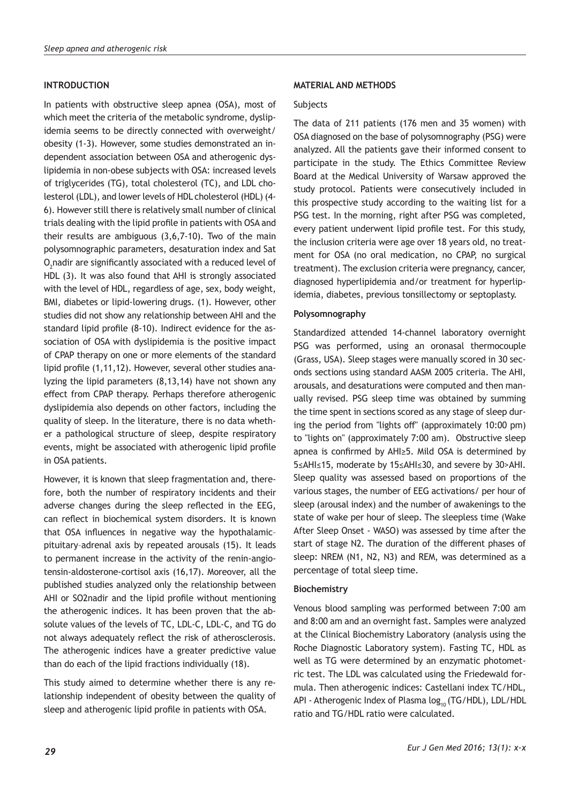## **INTRODUCTION**

In patients with obstructive sleep apnea (OSA), most of which meet the criteria of the metabolic syndrome, dyslipidemia seems to be directly connected with overweight/ obesity (1-3). However, some studies demonstrated an independent association between OSA and atherogenic dyslipidemia in non-obese subjects with OSA: increased levels of triglycerides (TG), total cholesterol (TC), and LDL cholesterol (LDL), and lower levels of HDL cholesterol (HDL) (4- 6). However still there is relatively small number of clinical trials dealing with the lipid profile in patients with OSA and their results are ambiguous (3,6,7-10). Two of the main polysomnographic parameters, desaturation index and Sat  $\mathsf{O}_\text{2}$ nadir are significantly associated with a reduced level of HDL (3). It was also found that AHI is strongly associated with the level of HDL, regardless of age, sex, body weight, BMI, diabetes or lipid-lowering drugs. (1). However, other studies did not show any relationship between AHI and the standard lipid profile (8-10). Indirect evidence for the association of OSA with dyslipidemia is the positive impact of CPAP therapy on one or more elements of the standard lipid profile (1,11,12). However, several other studies analyzing the lipid parameters (8,13,14) have not shown any effect from CPAP therapy. Perhaps therefore atherogenic dyslipidemia also depends on other factors, including the quality of sleep. In the literature, there is no data whether a pathological structure of sleep, despite respiratory events, might be associated with atherogenic lipid profile in OSA patients.

However, it is known that sleep fragmentation and, therefore, both the number of respiratory incidents and their adverse changes during the sleep reflected in the EEG, can reflect in biochemical system disorders. It is known that OSA influences in negative way the hypothalamic– pituitary–adrenal axis by repeated arousals (15). It leads to permanent increase in the activity of the renin-angiotensin-aldosterone-cortisol axis (16,17). Moreover, all the published studies analyzed only the relationship between AHI or SO2nadir and the lipid profile without mentioning the atherogenic indices. It has been proven that the absolute values of the levels of TC, LDL-C, LDL-C, and TG do not always adequately reflect the risk of atherosclerosis. The atherogenic indices have a greater predictive value than do each of the lipid fractions individually (18).

This study aimed to determine whether there is any relationship independent of obesity between the quality of sleep and atherogenic lipid profile in patients with OSA.

## **MATERIAL AND METHODS**

## **Subjects**

The data of 211 patients (176 men and 35 women) with OSA diagnosed on the base of polysomnography (PSG) were analyzed. All the patients gave their informed consent to participate in the study. The Ethics Committee Review Board at the Medical University of Warsaw approved the study protocol. Patients were consecutively included in this prospective study according to the waiting list for a PSG test. In the morning, right after PSG was completed, every patient underwent lipid profile test. For this study, the inclusion criteria were age over 18 years old, no treatment for OSA (no oral medication, no CPAP, no surgical treatment). The exclusion criteria were pregnancy, cancer, diagnosed hyperlipidemia and/or treatment for hyperlipidemia, diabetes, previous tonsillectomy or septoplasty.

## **Polysomnography**

Standardized attended 14-channel laboratory overnight PSG was performed, using an oronasal thermocouple (Grass, USA). Sleep stages were manually scored in 30 seconds sections using standard AASM 2005 criteria. The AHI, arousals, and desaturations were computed and then manually revised. PSG sleep time was obtained by summing the time spent in sections scored as any stage of sleep during the period from "lights off" (approximately 10:00 pm) to "lights on" (approximately 7:00 am). Obstructive sleep apnea is confirmed by AHI≥5. Mild OSA is determined by 5≤AHI≤15, moderate by 15≤AHI≤30, and severe by 30>AHI. Sleep quality was assessed based on proportions of the various stages, the number of EEG activations/ per hour of sleep (arousal index) and the number of awakenings to the state of wake per hour of sleep. The sleepless time (Wake After Sleep Onset - WASO) was assessed by time after the start of stage N2. The duration of the different phases of sleep: NREM (N1, N2, N3) and REM, was determined as a percentage of total sleep time.

## **Biochemistry**

Venous blood sampling was performed between 7:00 am and 8:00 am and an overnight fast. Samples were analyzed at the Clinical Biochemistry Laboratory (analysis using the Roche Diagnostic Laboratory system). Fasting TC, HDL as well as TG were determined by an enzymatic photometric test. The LDL was calculated using the Friedewald formula. Then atherogenic indices: Castellani index TC/HDL, API - Atherogenic Index of Plasma  $log_{10}$  (TG/HDL), LDL/HDL ratio and TG/HDL ratio were calculated.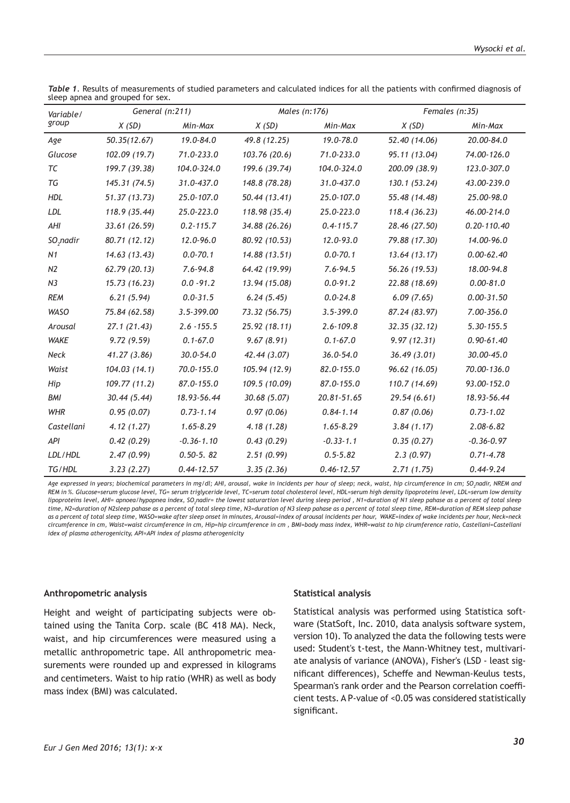| Variable/             | General (n:211) |                | Males (n:176) |                | Females (n:35) |                 |  |  |
|-----------------------|-----------------|----------------|---------------|----------------|----------------|-----------------|--|--|
| group                 | X(SD)           | Min-Max        | X(SD)         | Min-Max        | X(SD)          | Min-Max         |  |  |
| Age                   | 50.35(12.67)    | 19.0-84.0      | 49.8 (12.25)  | 19.0-78.0      | 52.40 (14.06)  | 20.00-84.0      |  |  |
| Glucose               | 102.09 (19.7)   | 71.0-233.0     | 103.76 (20.6) | 71.0-233.0     | 95.11 (13.04)  | 74.00-126.0     |  |  |
| TC                    | 199.7 (39.38)   | 104.0-324.0    | 199.6 (39.74) | 104.0-324.0    | 200.09 (38.9)  | 123.0-307.0     |  |  |
| TG                    | 145.31 (74.5)   | 31.0-437.0     | 148.8 (78.28) | 31.0-437.0     | 130.1 (53.24)  | 43.00-239.0     |  |  |
| <b>HDL</b>            | 51.37 (13.73)   | 25.0-107.0     | 50.44 (13.41) | 25.0-107.0     | 55.48 (14.48)  | 25.00-98.0      |  |  |
| LDL                   | 118.9 (35.44)   | 25.0-223.0     | 118.98 (35.4) | 25.0-223.0     | 118.4 (36.23)  | 46.00-214.0     |  |  |
| AHI                   | 33.61 (26.59)   | $0.2 - 115.7$  | 34.88 (26.26) | $0.4 - 115.7$  | 28.46 (27.50)  | $0.20 - 110.40$ |  |  |
| SO <sub>2</sub> nadir | 80.71 (12.12)   | 12.0-96.0      | 80.92 (10.53) | 12.0-93.0      | 79.88 (17.30)  | 14.00-96.0      |  |  |
| N1                    | 14.63 (13.43)   | $0.0 - 70.1$   | 14.88 (13.51) | $0.0 - 70.1$   | 13.64(13.17)   | $0.00 - 62.40$  |  |  |
| N <sub>2</sub>        | 62.79 (20.13)   | $7.6 - 94.8$   | 64.42 (19.99) | $7.6 - 94.5$   | 56.26 (19.53)  | 18.00-94.8      |  |  |
| N <sub>3</sub>        | 15.73 (16.23)   | $0.0 - 91.2$   | 13.94 (15.08) | $0.0 - 91.2$   | 22.88 (18.69)  | $0.00 - 81.0$   |  |  |
| <b>REM</b>            | 6.21(5.94)      | $0.0 - 31.5$   | 6.24(5.45)    | $0.0 - 24.8$   | 6.09(7.65)     | $0.00 - 31.50$  |  |  |
| <b>WASO</b>           | 75.84 (62.58)   | 3.5-399.00     | 73.32 (56.75) | $3.5 - 399.0$  | 87.24 (83.97)  | 7.00-356.0      |  |  |
| Arousal               | 27.1(21.43)     | $2.6 - 155.5$  | 25.92 (18.11) | $2.6 - 109.8$  | 32.35(32.12)   | 5.30-155.5      |  |  |
| <b>WAKE</b>           | 9.72(9.59)      | $0.1 - 67.0$   | 9.67(8.91)    | $0.1 - 67.0$   | 9.97(12.31)    | $0.90 - 61.40$  |  |  |
| <b>Neck</b>           | 41.27(3.86)     | $30.0 - 54.0$  | 42.44 (3.07)  | $36.0 - 54.0$  | 36.49(3.01)    | 30.00-45.0      |  |  |
| Waist                 | 104.03 (14.1)   | 70.0-155.0     | 105.94 (12.9) | 82.0-155.0     | 96.62 (16.05)  | 70.00-136.0     |  |  |
| Hip                   | 109.77 (11.2)   | 87.0-155.0     | 109.5 (10.09) | 87.0-155.0     | 110.7 (14.69)  | 93.00-152.0     |  |  |
| BMI                   | 30.44(5.44)     | 18.93-56.44    | 30.68 (5.07)  | 20.81-51.65    | 29.54(6.61)    | 18.93-56.44     |  |  |
| <b>WHR</b>            | 0.95(0.07)      | $0.73 - 1.14$  | 0.97(0.06)    | $0.84 - 1.14$  | 0.87(0.06)     | $0.73 - 1.02$   |  |  |
| Castellani            | 4.12(1.27)      | $1.65 - 8.29$  | 4.18(1.28)    | $1.65 - 8.29$  | 3.84(1.17)     | 2.08-6.82       |  |  |
| API                   | 0.42(0.29)      | $-0.36 - 1.10$ | 0.43(0.29)    | $-0.33 - 1.1$  | 0.35(0.27)     | $-0.36 - 0.97$  |  |  |
| LDL/HDL               | 2.47(0.99)      | $0.50 - 5.82$  | 2.51(0.99)    | $0.5 - 5.82$   | 2.3(0.97)      | $0.71 - 4.78$   |  |  |
| TG/HDL                | 3.23(2.27)      | $0.44 - 12.57$ | 3.35(2.36)    | $0.46 - 12.57$ | 2.71(1.75)     | $0.44 - 9.24$   |  |  |

*Table 1*. Results of measurements of studied parameters and calculated indices for all the patients with confirmed diagnosis of sleep apnea and grouped for sex.

Age expressed in years; biochemical parameters in mg/dl; AHI, arousal, wake in incidents per hour of sleep; neck, waist, hip circumference in cm; SO<sub>2</sub>nadir, NREM and *REM in %. Glucose=serum glucose level, TG= serum triglyceride level, TC=serum total cholesterol level, HDL=serum high density lipoproteins level, LDL=serum low density*  lipoproteins level, AHI= apnoea/hypopnea index, SO<sub>2</sub>nadir= the lowest saturartion level during sleep period , N1=duration of N1 sleep pahase as a percent of total sleep *time, N2=duration of N2sleep pahase as a percent of total sleep time, N3=duration of N3 sleep pahase as a percent of total sleep time, REM=duration of REM sleep pahase as a percent of total sleep time, WASO=wake after sleep onset in minutes, Arousal=index of arousal incidents per hour, WAKE=index of wake incidents per hour, Neck=neck circumference in cm, Waist=waist circumference in cm, Hip=hip circumference in cm , BMI=body mass index, WHR=waist to hip cirumference ratio, Castellani=Castellani idex of plasma atherogenicity, API=API index of plasma atherogenicity* 

## **Anthropometric analysis**

Height and weight of participating subjects were obtained using the Tanita Corp. scale (BC 418 MA). Neck, waist, and hip circumferences were measured using a metallic anthropometric tape. All anthropometric measurements were rounded up and expressed in kilograms and centimeters. Waist to hip ratio (WHR) as well as body mass index (BMI) was calculated.

#### **Statistical analysis**

Statistical analysis was performed using Statistica software (StatSoft, Inc. 2010, data analysis software system, version 10). To analyzed the data the following tests were used: Student's t-test, the Mann-Whitney test, multivariate analysis of variance (ANOVA), Fisher's (LSD - least significant differences), Scheffe and Newman-Keulus tests, Spearman's rank order and the Pearson correlation coefficient tests. A P-value of <0.05 was considered statistically significant.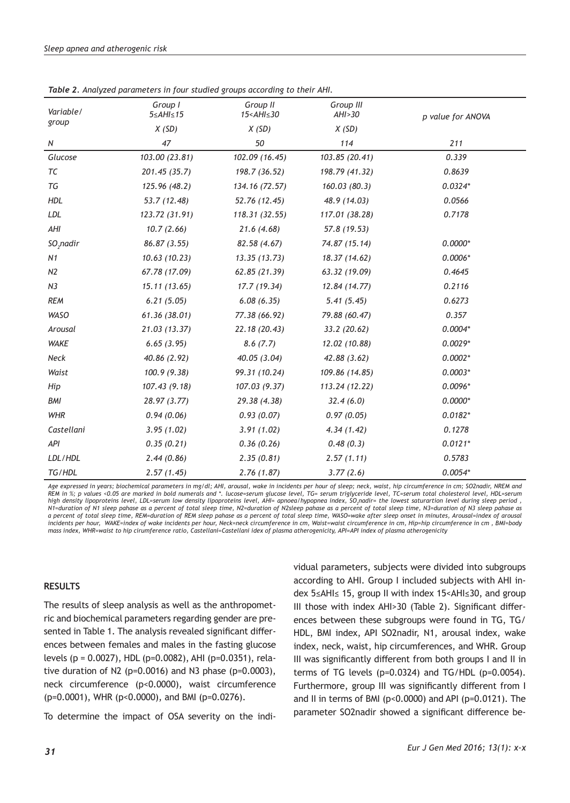| Variable/      | Group I<br>$5 \leq AHI \leq 15$ | Group II<br>15 <ahi≤30< th=""><th>Group III<br/>AHI &gt; 30</th><th>p value for ANOVA</th></ahi≤30<> | Group III<br>AHI > 30 | p value for ANOVA |
|----------------|---------------------------------|------------------------------------------------------------------------------------------------------|-----------------------|-------------------|
| group          | X(SD)                           | X(SD)                                                                                                | X(SD)                 |                   |
| N              | 47                              | 50                                                                                                   | 114                   | 211               |
| Glucose        | 103.00 (23.81)                  | 102.09 (16.45)                                                                                       | 103.85 (20.41)        | 0.339             |
| ТC             | 201.45 (35.7)                   | 198.7 (36.52)                                                                                        | 198.79 (41.32)        | 0.8639            |
| TG             | 125.96 (48.2)                   | 134.16 (72.57)                                                                                       | 160.03 (80.3)         | $0.0324*$         |
| <b>HDL</b>     | 53.7 (12.48)                    | 52.76 (12.45)                                                                                        | 48.9 (14.03)          | 0.0566            |
| LDL            | 123.72 (31.91)                  | 118.31 (32.55)                                                                                       | 117.01 (38.28)        | 0.7178            |
| AHI            | 10.7(2.66)                      | 21.6(4.68)                                                                                           | 57.8 (19.53)          |                   |
| $SO_2$ nadir   | 86.87 (3.55)                    | 82.58 (4.67)                                                                                         | 74.87 (15.14)         | $0.0000*$         |
| N1             | 10.63(10.23)                    | 13.35(13.73)                                                                                         | 18.37 (14.62)         | $0.0006*$         |
| N <sub>2</sub> | 67.78 (17.09)                   | 62.85 (21.39)                                                                                        | 63.32 (19.09)         | 0.4645            |
| N <sub>3</sub> | 15.11(13.65)                    | 17.7 (19.34)                                                                                         | 12.84 (14.77)         | 0.2116            |
| <b>REM</b>     | 6.21(5.05)                      | 6.08(6.35)                                                                                           | 5.41(5.45)            | 0.6273            |
| <b>WASO</b>    | 61.36 (38.01)                   | 77.38 (66.92)                                                                                        | 79.88 (60.47)         | 0.357             |
| Arousal        | 21.03 (13.37)                   | 22.18 (20.43)                                                                                        | 33.2(20.62)           | $0.0004*$         |
| <b>WAKE</b>    | 6.65(3.95)                      | 8.6(7.7)                                                                                             | 12.02 (10.88)         | $0.0029*$         |
| Neck           | 40.86 (2.92)                    | 40.05 (3.04)                                                                                         | 42.88(3.62)           | $0.0002*$         |
| Waist          | 100.9 (9.38)                    | 99.31 (10.24)                                                                                        | 109.86 (14.85)        | $0.0003*$         |
| Hip            | 107.43 (9.18)                   | 107.03 (9.37)                                                                                        | 113.24 (12.22)        | $0.0096*$         |
| BMI            | 28.97 (3.77)                    | 29.38 (4.38)                                                                                         | 32.4(6.0)             | $0.0000*$         |
| <b>WHR</b>     | 0.94(0.06)                      | 0.93(0.07)                                                                                           | 0.97(0.05)            | $0.0182*$         |
| Castellani     | 3.95(1.02)                      | 3.91(1.02)                                                                                           | 4.34(1.42)            | 0.1278            |
| API            | 0.35(0.21)                      | 0.36(0.26)                                                                                           | 0.48(0.3)             | $0.0121*$         |
| LDL/HDL        | 2.44(0.86)                      | 2.35(0.81)                                                                                           | 2.57(1.11)            | 0.5783            |
| TG/HDL         | 2.57(1.45)                      | 2.76(1.87)                                                                                           | 3.77(2.6)             | $0.0054*$         |

*Table 2. Analyzed parameters in four studied groups according to their AHI.* 

*Age expressed in years; biochemical parameters in mg/dl; AHI, arousal, wake in incidents per hour of sleep; neck, waist, hip circumference in cm; SO2nadir, NREM and REM in %; p values <0.05 are marked in bold numerals and \*. lucose=serum glucose level, TG= serum triglyceride level, TC=serum total cholesterol level, HDL=serum high density lipoproteins level, LDL=serum low density lipoproteins level, AHI= apnoea/hypopnea index, SO2 nadir= the lowest saturartion level during sleep period , N1=duration of N1 sleep pahase as a percent of total sleep time, N2=duration of N2sleep pahase as a percent of total sleep time, N3=duration of N3 sleep pahase as a percent of total sleep time, REM=duration of REM sleep pahase as a percent of total sleep time, WASO=wake after sleep onset in minutes, Arousal=index of arousal incidents per hour, WAKE=index of wake incidents per hour, Neck=neck circumference in cm, Waist=waist circumference in cm, Hip=hip circumference in cm , BMI=body mass index, WHR=waist to hip cirumference ratio, Castellani=Castellani idex of plasma atherogenicity, API=API index of plasma atherogenicity*

#### **RESULTS**

The results of sleep analysis as well as the anthropometric and biochemical parameters regarding gender are presented in Table 1. The analysis revealed significant differences between females and males in the fasting glucose levels (p = 0.0027), HDL (p=0.0082), AHI (p=0.0351), relative duration of  $N2$  (p=0.0016) and  $N3$  phase (p=0.0003), neck circumference (p<0.0000), waist circumference (p=0.0001), WHR (p<0.0000), and BMI (p=0.0276).

To determine the impact of OSA severity on the indi-

vidual parameters, subjects were divided into subgroups according to AHI. Group I included subjects with AHI index 5≤AHI≤ 15, group II with index 15<AHI≤30, and group III those with index AHI>30 (Table 2). Significant differences between these subgroups were found in TG, TG/ HDL, BMI index, API SO2nadir, N1, arousal index, wake index, neck, waist, hip circumferences, and WHR. Group III was significantly different from both groups I and II in terms of TG levels (p=0.0324) and TG/HDL (p=0.0054). Furthermore, group III was significantly different from I and II in terms of BMI (p<0.0000) and API (p=0.0121). The parameter SO2nadir showed a significant difference be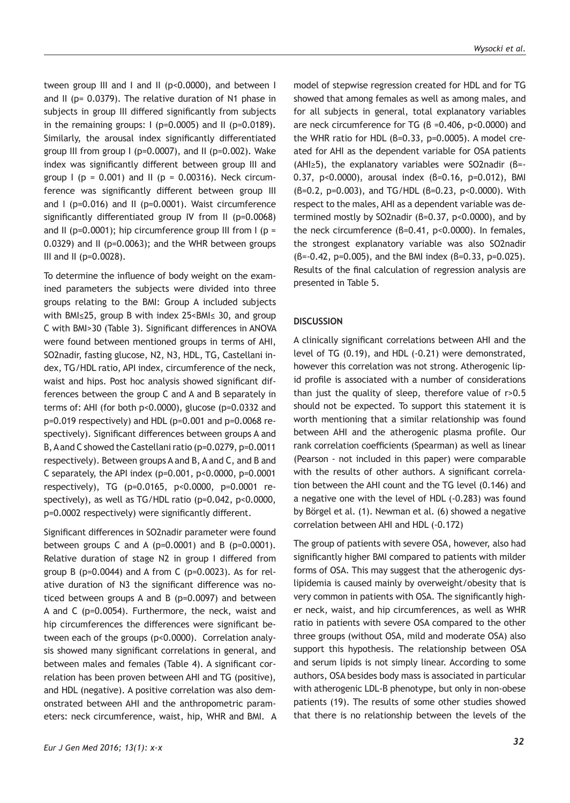tween group III and I and II (p<0.0000), and between I and II (p= 0.0379). The relative duration of N1 phase in subjects in group III differed significantly from subjects in the remaining groups:  $I$  (p=0.0005) and  $II$  (p=0.0189). Similarly, the arousal index significantly differentiated group III from group I (p=0.0007), and II (p=0.002). Wake index was significantly different between group III and group  $I$  (p = 0.001) and  $II$  (p = 0.00316). Neck circumference was significantly different between group III and I (p=0.016) and II (p=0.0001). Waist circumference significantly differentiated group IV from II (p=0.0068) and II (p=0.0001); hip circumference group III from  $I(p = 1)$ 0.0329) and II (p=0.0063); and the WHR between groups III and II (p=0.0028).

To determine the influence of body weight on the examined parameters the subjects were divided into three groups relating to the BMI: Group A included subjects with BMI≤25, group B with index 25<BMI≤ 30, and group C with BMI>30 (Table 3). Significant differences in ANOVA were found between mentioned groups in terms of AHI, SO2nadir, fasting glucose, N2, N3, HDL, TG, Castellani index, TG/HDL ratio, API index, circumference of the neck, waist and hips. Post hoc analysis showed significant differences between the group C and A and B separately in terms of: AHI (for both p<0.0000), glucose (p=0.0332 and p=0.019 respectively) and HDL (p=0.001 and p=0.0068 respectively). Significant differences between groups A and B, A and C showed the Castellani ratio (p=0.0279, p=0.0011 respectively). Between groups A and B, A and C, and B and C separately, the API index (p=0.001, p<0.0000, p=0.0001 respectively), TG (p=0.0165, p<0.0000, p=0.0001 respectively), as well as TG/HDL ratio (p=0.042, p<0.0000, p=0.0002 respectively) were significantly different.

Significant differences in SO2nadir parameter were found between groups C and A ( $p=0.0001$ ) and B ( $p=0.0001$ ). Relative duration of stage N2 in group I differed from group B (p=0.0044) and A from C (p=0.0023). As for relative duration of N3 the significant difference was noticed between groups A and B (p=0.0097) and between A and C (p=0.0054). Furthermore, the neck, waist and hip circumferences the differences were significant between each of the groups (p<0.0000). Correlation analysis showed many significant correlations in general, and between males and females (Table 4). A significant correlation has been proven between AHI and TG (positive), and HDL (negative). A positive correlation was also demonstrated between AHI and the anthropometric parameters: neck circumference, waist, hip, WHR and BMI. A model of stepwise regression created for HDL and for TG showed that among females as well as among males, and for all subjects in general, total explanatory variables are neck circumference for TG (β =0.406, p<0.0000) and the WHR ratio for HDL  $(B=0.33, p=0.0005)$ . A model created for AHI as the dependent variable for OSA patients (AHI≥5), the explanatory variables were SO2nadir (β=- 0.37, p<0.0000), arousal index (β=0.16, p=0.012), BMI (β=0.2, p=0.003), and TG/HDL (β=0.23, p<0.0000). With respect to the males, AHI as a dependent variable was determined mostly by SO2nadir (β=0.37, p<0.0000), and by the neck circumference (β=0.41, p<0.0000). In females, the strongest explanatory variable was also SO2nadir (β=-0.42, p=0.005), and the BMI index (β=0.33, p=0.025). Results of the final calculation of regression analysis are presented in Table 5.

## **DISCUSSION**

A clinically significant correlations between AHI and the level of TG (0.19), and HDL (-0.21) were demonstrated, however this correlation was not strong. Atherogenic lipid profile is associated with a number of considerations than just the quality of sleep, therefore value of r>0.5 should not be expected. To support this statement it is worth mentioning that a similar relationship was found between AHI and the atherogenic plasma profile. Our rank correlation coefficients (Spearman) as well as linear (Pearson - not included in this paper) were comparable with the results of other authors. A significant correlation between the AHI count and the TG level (0.146) and a negative one with the level of HDL (-0.283) was found by Börgel et al. (1). Newman et al. (6) showed a negative correlation between AHI and HDL (-0.172)

The group of patients with severe OSA, however, also had significantly higher BMI compared to patients with milder forms of OSA. This may suggest that the atherogenic dyslipidemia is caused mainly by overweight/obesity that is very common in patients with OSA. The significantly higher neck, waist, and hip circumferences, as well as WHR ratio in patients with severe OSA compared to the other three groups (without OSA, mild and moderate OSA) also support this hypothesis. The relationship between OSA and serum lipids is not simply linear. According to some authors, OSA besides body mass is associated in particular with atherogenic LDL-B phenotype, but only in non-obese patients (19). The results of some other studies showed that there is no relationship between the levels of the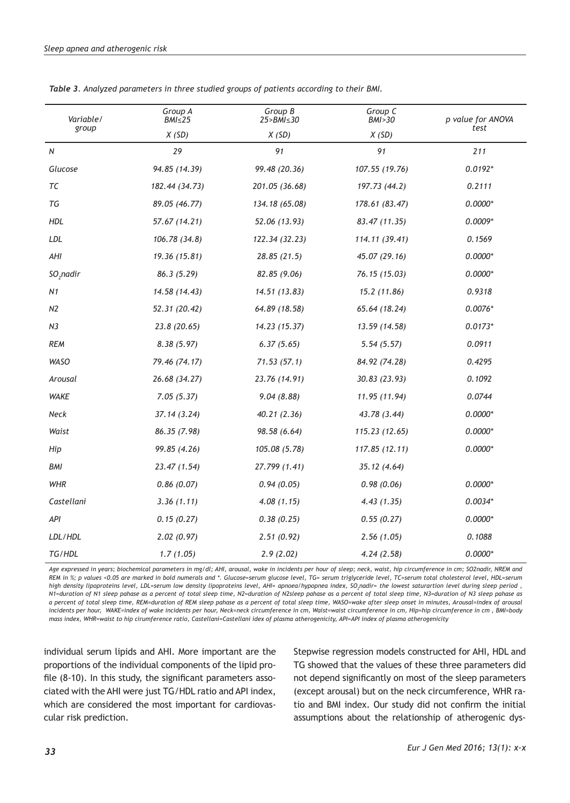| Variable/      | Group A<br>BMl <sub>25</sub> | Group B<br>25>BMI≤30 | Group C<br><b>BMI</b> >30 | p value for ANOVA |
|----------------|------------------------------|----------------------|---------------------------|-------------------|
| group          | X(SD)                        | X(SD)                | X(SD)                     | test              |
| N              | 29                           | 91                   | 91                        | 211               |
| Glucose        | 94.85 (14.39)                | 99.48 (20.36)        | 107.55 (19.76)            | $0.0192*$         |
| ТC             | 182.44 (34.73)               | 201.05 (36.68)       | 197.73 (44.2)             | 0.2111            |
| TG             | 89.05 (46.77)                | 134.18 (65.08)       | 178.61 (83.47)            | $0.0000*$         |
| <b>HDL</b>     | 57.67 (14.21)                | 52.06 (13.93)        | 83.47 (11.35)             | $0.0009*$         |
| LDL            | 106.78 (34.8)                | 122.34 (32.23)       | 114.11 (39.41)            | 0.1569            |
| AHI            | 19.36 (15.81)                | 28.85 (21.5)         | 45.07 (29.16)             | $0.0000*$         |
| $SO_2$ nadir   | 86.3 (5.29)                  | 82.85 (9.06)         | 76.15 (15.03)             | $0.0000*$         |
| N1             | 14.58 (14.43)                | 14.51 (13.83)        | 15.2 (11.86)              | 0.9318            |
| N <sub>2</sub> | 52.31 (20.42)                | 64.89 (18.58)        | 65.64 (18.24)             | $0.0076*$         |
| N <sub>3</sub> | 23.8(20.65)                  | 14.23 (15.37)        | 13.59 (14.58)             | $0.0173*$         |
| <b>REM</b>     | 8.38(5.97)                   | 6.37(5.65)           | 5.54(5.57)                | 0.0911            |
| <b>WASO</b>    | 79.46 (74.17)                | 71.53(57.1)          | 84.92 (74.28)             | 0.4295            |
| Arousal        | 26.68 (34.27)                | 23.76 (14.91)        | 30.83 (23.93)             | 0.1092            |
| <b>WAKE</b>    | 7.05(5.37)                   | 9.04(8.88)           | 11.95 (11.94)             | 0.0744            |
| Neck           | 37.14 (3.24)                 | 40.21 (2.36)         | 43.78 (3.44)              | $0.0000*$         |
| Waist          | 86.35 (7.98)                 | 98.58 (6.64)         | 115.23 (12.65)            | $0.0000*$         |
| Hip            | 99.85 (4.26)                 | 105.08 (5.78)        | 117.85 (12.11)            | $0.0000*$         |
| <b>BMI</b>     | 23.47 (1.54)                 | 27.799 (1.41)        | 35.12 (4.64)              |                   |
| <b>WHR</b>     | 0.86(0.07)                   | 0.94(0.05)           | 0.98(0.06)                | $0.0000*$         |
| Castellani     | 3.36(1.11)                   | 4.08(1.15)           | 4.43(1.35)                | $0.0034*$         |
| API            | 0.15(0.27)                   | 0.38(0.25)           | 0.55(0.27)                | $0.0000*$         |
| LDL/HDL        | 2.02(0.97)                   | 2.51(0.92)           | 2.56(1.05)                | 0.1088            |
| TG/HDL         | 1.7(1.05)                    | 2.9(2.02)            | 4.24(2.58)                | $0.0000*$         |

*Table 3*. *Analyzed parameters in three studied groups of patients according to their BMI.* 

*Age expressed in years; biochemical parameters in mg/dl; AHI, arousal, wake in incidents per hour of sleep; neck, waist, hip circumference in cm; SO2nadir, NREM and REM in %; p values <0.05 are marked in bold numerals and \*. Glucose=serum glucose level, TG= serum triglyceride level, TC=serum total cholesterol level, HDL=serum high density lipoproteins level, LDL=serum low density lipoproteins level, AHI= apnoea/hypopnea index, SO2 nadir= the lowest saturartion level during sleep period , N1=duration of N1 sleep pahase as a percent of total sleep time, N2=duration of N2sleep pahase as a percent of total sleep time, N3=duration of N3 sleep pahase as a percent of total sleep time, REM=duration of REM sleep pahase as a percent of total sleep time, WASO=wake after sleep onset in minutes, Arousal=index of arousal incidents per hour, WAKE=index of wake incidents per hour, Neck=neck circumference in cm, Waist=waist circumference in cm, Hip=hip circumference in cm , BMI=body mass index, WHR=waist to hip cirumference ratio, Castellani=Castellani idex of plasma atherogenicity, API=API index of plasma atherogenicity*

individual serum lipids and AHI. More important are the proportions of the individual components of the lipid profile (8-10). In this study, the significant parameters associated with the AHI were just TG/HDL ratio and API index, which are considered the most important for cardiovascular risk prediction.

Stepwise regression models constructed for AHI, HDL and TG showed that the values of these three parameters did not depend significantly on most of the sleep parameters (except arousal) but on the neck circumference, WHR ratio and BMI index. Our study did not confirm the initial assumptions about the relationship of atherogenic dys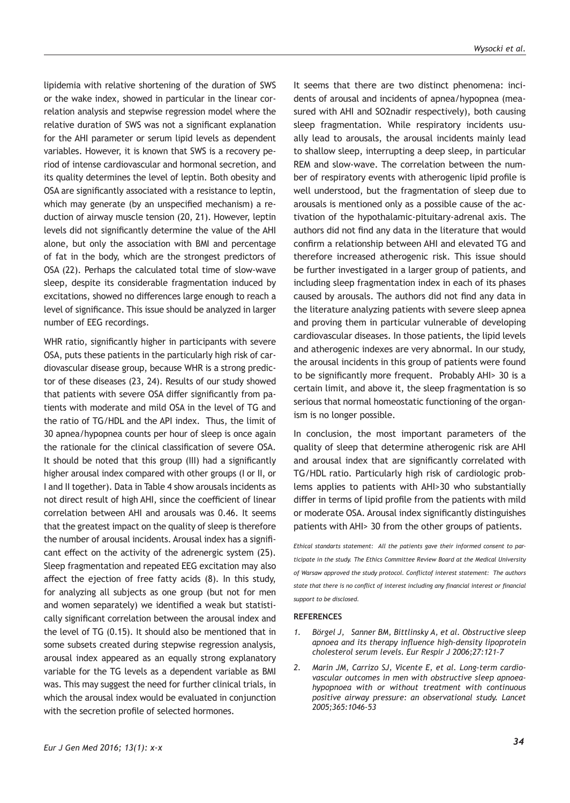lipidemia with relative shortening of the duration of SWS or the wake index, showed in particular in the linear correlation analysis and stepwise regression model where the relative duration of SWS was not a significant explanation for the AHI parameter or serum lipid levels as dependent variables. However, it is known that SWS is a recovery period of intense cardiovascular and hormonal secretion, and its quality determines the level of leptin. Both obesity and OSA are significantly associated with a resistance to leptin, which may generate (by an unspecified mechanism) a reduction of airway muscle tension (20, 21). However, leptin levels did not significantly determine the value of the AHI alone, but only the association with BMI and percentage of fat in the body, which are the strongest predictors of OSA (22). Perhaps the calculated total time of slow-wave sleep, despite its considerable fragmentation induced by excitations, showed no differences large enough to reach a level of significance. This issue should be analyzed in larger number of EEG recordings.

WHR ratio, significantly higher in participants with severe OSA, puts these patients in the particularly high risk of cardiovascular disease group, because WHR is a strong predictor of these diseases (23, 24). Results of our study showed that patients with severe OSA differ significantly from patients with moderate and mild OSA in the level of TG and the ratio of TG/HDL and the API index. Thus, the limit of 30 apnea/hypopnea counts per hour of sleep is once again the rationale for the clinical classification of severe OSA. It should be noted that this group (III) had a significantly higher arousal index compared with other groups (I or II, or I and II together). Data in Table 4 show arousals incidents as not direct result of high AHI, since the coefficient of linear correlation between AHI and arousals was 0.46. It seems that the greatest impact on the quality of sleep is therefore the number of arousal incidents. Arousal index has a significant effect on the activity of the adrenergic system (25). Sleep fragmentation and repeated EEG excitation may also affect the ejection of free fatty acids (8). In this study, for analyzing all subjects as one group (but not for men and women separately) we identified a weak but statistically significant correlation between the arousal index and the level of TG (0.15). It should also be mentioned that in some subsets created during stepwise regression analysis, arousal index appeared as an equally strong explanatory variable for the TG levels as a dependent variable as BMI was. This may suggest the need for further clinical trials, in which the arousal index would be evaluated in conjunction with the secretion profile of selected hormones.

It seems that there are two distinct phenomena: incidents of arousal and incidents of apnea/hypopnea (measured with AHI and SO2nadir respectively), both causing sleep fragmentation. While respiratory incidents usually lead to arousals, the arousal incidents mainly lead to shallow sleep, interrupting a deep sleep, in particular REM and slow-wave. The correlation between the number of respiratory events with atherogenic lipid profile is well understood, but the fragmentation of sleep due to arousals is mentioned only as a possible cause of the activation of the hypothalamic-pituitary-adrenal axis. The authors did not find any data in the literature that would confirm a relationship between AHI and elevated TG and therefore increased atherogenic risk. This issue should be further investigated in a larger group of patients, and including sleep fragmentation index in each of its phases caused by arousals. The authors did not find any data in the literature analyzing patients with severe sleep apnea and proving them in particular vulnerable of developing cardiovascular diseases. In those patients, the lipid levels and atherogenic indexes are very abnormal. In our study, the arousal incidents in this group of patients were found to be significantly more frequent. Probably AHI> 30 is a certain limit, and above it, the sleep fragmentation is so serious that normal homeostatic functioning of the organism is no longer possible.

In conclusion, the most important parameters of the quality of sleep that determine atherogenic risk are AHI and arousal index that are significantly correlated with TG/HDL ratio. Particularly high risk of cardiologic problems applies to patients with AHI>30 who substantially differ in terms of lipid profile from the patients with mild or moderate OSA. Arousal index significantly distinguishes patients with AHI> 30 from the other groups of patients.

*Ethical standarts statement: All the patients gave their informed consent to participate in the study. The Ethics Committee Review Board at the Medical University of Warsaw approved the study protocol. Conflictof interest statement: The authors state that there is no conflict of interest including any financial interest or financial support to be disclosed.*

#### **REFERENCES**

- *1. Börgel J, Sanner BM, Bittlinsky A, et al. Obstructive sleep apnoea and its therapy influence high-density lipoprotein cholesterol serum levels. Eur Respir J 2006;27:121–7*
- *2. Marin JM, Carrizo SJ, Vicente E, et al. Long-term cardiovascular outcomes in men with obstructive sleep apnoeahypopnoea with or without treatment with continuous positive airway pressure: an observational study. Lancet 2005;365:1046-53*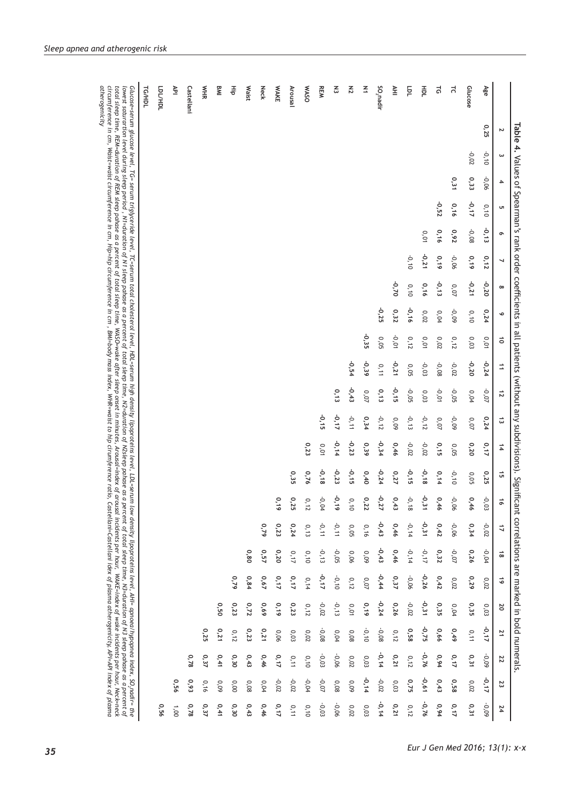| atherogenicity                                                                                                                                                                                                                                                                                                                                                                                                                                                                                                                                                                                                                                                                                                                                                                                                                                              | TG/HDL | понитит | Š    | Castellani | NHX  | BMI  | 좋       | Waist | <b>Neck</b> | <b>WAKE</b> | Arousal | <b>MASO</b> | <b>REM</b> | る       | $\overline{z}$ | $\tilde{z}$ | SO <sub>2</sub> nadir | ≩       | 巨       | 휴       | ನ        | ನ       | Glucose | Age      |                      |                                                                                                                      |
|-------------------------------------------------------------------------------------------------------------------------------------------------------------------------------------------------------------------------------------------------------------------------------------------------------------------------------------------------------------------------------------------------------------------------------------------------------------------------------------------------------------------------------------------------------------------------------------------------------------------------------------------------------------------------------------------------------------------------------------------------------------------------------------------------------------------------------------------------------------|--------|---------|------|------------|------|------|---------|-------|-------------|-------------|---------|-------------|------------|---------|----------------|-------------|-----------------------|---------|---------|---------|----------|---------|---------|----------|----------------------|----------------------------------------------------------------------------------------------------------------------|
|                                                                                                                                                                                                                                                                                                                                                                                                                                                                                                                                                                                                                                                                                                                                                                                                                                                             |        |         |      |            |      |      |         |       |             |             |         |             |            |         |                |             |                       |         |         |         |          |         |         | 0,25     | Z                    |                                                                                                                      |
|                                                                                                                                                                                                                                                                                                                                                                                                                                                                                                                                                                                                                                                                                                                                                                                                                                                             |        |         |      |            |      |      |         |       |             |             |         |             |            |         |                |             |                       |         |         |         |          |         | $-0.02$ | $-0.10$  | س                    | Table 4. Values of Spearman's rank order coefficients in all patients (without any subdivisions). Significant correl |
|                                                                                                                                                                                                                                                                                                                                                                                                                                                                                                                                                                                                                                                                                                                                                                                                                                                             |        |         |      |            |      |      |         |       |             |             |         |             |            |         |                |             |                       |         |         |         |          | 0,31    | 0, 33   | -0,06    | 4                    |                                                                                                                      |
|                                                                                                                                                                                                                                                                                                                                                                                                                                                                                                                                                                                                                                                                                                                                                                                                                                                             |        |         |      |            |      |      |         |       |             |             |         |             |            |         |                |             |                       |         |         |         | $-0, 52$ | 0,16    | $-0,17$ | 0,10     | UΠ                   |                                                                                                                      |
|                                                                                                                                                                                                                                                                                                                                                                                                                                                                                                                                                                                                                                                                                                                                                                                                                                                             |        |         |      |            |      |      |         |       |             |             |         |             |            |         |                |             |                       |         |         | 0,01    | 0,16     | 0,92    | $-0.08$ | $-0,13$  | ò                    |                                                                                                                      |
|                                                                                                                                                                                                                                                                                                                                                                                                                                                                                                                                                                                                                                                                                                                                                                                                                                                             |        |         |      |            |      |      |         |       |             |             |         |             |            |         |                |             |                       |         | $-0.10$ | $-0,21$ | 0,19     | $-0,06$ | 0,19    | 0,12     | ↘                    |                                                                                                                      |
|                                                                                                                                                                                                                                                                                                                                                                                                                                                                                                                                                                                                                                                                                                                                                                                                                                                             |        |         |      |            |      |      |         |       |             |             |         |             |            |         |                |             |                       | $-0.70$ | 0,10    | 0,16    | $-0,13$  | 0,07    | $-0,21$ | $-0,20$  | $\infty$             |                                                                                                                      |
|                                                                                                                                                                                                                                                                                                                                                                                                                                                                                                                                                                                                                                                                                                                                                                                                                                                             |        |         |      |            |      |      |         |       |             |             |         |             |            |         |                |             | $-0,25$               | 0,32    | $-0.16$ | 0,02    | 0,04     | $-0,09$ | 0,10    | 0,24     | G                    |                                                                                                                      |
|                                                                                                                                                                                                                                                                                                                                                                                                                                                                                                                                                                                                                                                                                                                                                                                                                                                             |        |         |      |            |      |      |         |       |             |             |         |             |            |         |                | $-0,35$     | 0,05                  | $-0.01$ | 0,12    | 0,01    | 0,02     | 0,12    | 0,03    | 10'0     | ō                    |                                                                                                                      |
|                                                                                                                                                                                                                                                                                                                                                                                                                                                                                                                                                                                                                                                                                                                                                                                                                                                             |        |         |      |            |      |      |         |       |             |             |         |             |            |         | $-0,54$        | $-0,39$     | 0,11                  | $-0,21$ | 0,05    | $-0.03$ | $-0,08$  | $-0.02$ | $-0,20$ | $-0,24$  | $\overrightarrow{=}$ |                                                                                                                      |
|                                                                                                                                                                                                                                                                                                                                                                                                                                                                                                                                                                                                                                                                                                                                                                                                                                                             |        |         |      |            |      |      |         |       |             |             |         |             |            | 0,13    | $-0,43$        | 0,07        | 0,13                  | $-0,15$ | $-0.05$ | 0,03    | $-0,01$  | $-0,05$ | 0,04    | $-0.07$  | $\overline{5}$       |                                                                                                                      |
| circumference in am, Waist=waist circumference in am, Hip=hip circumference in cinn, wind-waist to hip cirumference ratio, Castellani-Castellani dex of plasma atherogenicity, API=API index of plasma atherogenicity, API=API<br>total sleep time, REM-duration of REM sleep pahase as a percent of total sleep onset in minutes, Arousal-index of arousal incidents per hour, WAKE-index of wake incidents per hour, Wederstage rest hour, Net incidents per h<br>lowest saturarion level during sleep period ; N1 strap pahase as a percent of total sleep promines in a percent of total sleep time, N3-duration of N3 sleep pahase as a percent of total sleep pahase as a percent of<br>Glucose-serum glucose level, TG= serum triglyceride level, TC=serum total cholesterol level, HDL=serum high density lipoproteins level, LDL=serum low density |        |         |      |            |      |      |         |       |             |             |         |             | $-0,15$    | $-0,17$ | $-0,11$        | 0,34        | $-0.12$               | 0,09    | $-0.13$ | $-0,12$ | 0,07     | $-0,09$ | 0,07    | 0,24     | ದ                    |                                                                                                                      |
|                                                                                                                                                                                                                                                                                                                                                                                                                                                                                                                                                                                                                                                                                                                                                                                                                                                             |        |         |      |            |      |      |         |       |             |             |         | 0,23        | 0,01       | $-0,14$ | $-0,23$        | 0,39        | $-0,34$               | 0,46    | $-0.02$ | $-0,02$ | 0,15     | 0,05    | 0,20    | 0,17     | $\frac{1}{4}$        |                                                                                                                      |
|                                                                                                                                                                                                                                                                                                                                                                                                                                                                                                                                                                                                                                                                                                                                                                                                                                                             |        |         |      |            |      |      |         |       |             |             | 0,35    | 0,76        | $-0.18$    | $-0,23$ | $-0,15$        | 0,40        | $-0,24$               | 0,27    | $-0.15$ | $-0,18$ | 0,14     | $-0.10$ | 0,05    | 0,25     | ū                    |                                                                                                                      |
|                                                                                                                                                                                                                                                                                                                                                                                                                                                                                                                                                                                                                                                                                                                                                                                                                                                             |        |         |      |            |      |      |         |       |             | 0,19        | 0,25    | 0,12        | -0,04      | $-0,19$ | 0,10           | 0,22        | $-0,27$               | 0,43    | $-0.18$ | $-0.31$ | 0,46     | $-0.06$ | 0,46    | $-0.03$  | ō                    |                                                                                                                      |
|                                                                                                                                                                                                                                                                                                                                                                                                                                                                                                                                                                                                                                                                                                                                                                                                                                                             |        |         |      |            |      |      |         |       | 0,79        | 0,23        | 0,24    | 0,13        | $-0.11$    | $-0.11$ | 0,05           | 0,16        | $-0,43$               | 0,46    | $-0,14$ | $-0,31$ | 0,42     | $-0,06$ | 0,34    | $-0,02$  | $\overline{a}$       |                                                                                                                      |
|                                                                                                                                                                                                                                                                                                                                                                                                                                                                                                                                                                                                                                                                                                                                                                                                                                                             |        |         |      |            |      |      |         | 0,80  | 0,57        | 0,20        | 0,17    | 0,10        | $-0, 13$   | $-0.05$ | 0,06           | 0,09        | $-0,43$               | 0,46    | $-0,14$ | $-0.17$ | 0,32     | $-0,07$ | 0,26    | $-0,04$  | $\vec{\infty}$       |                                                                                                                      |
|                                                                                                                                                                                                                                                                                                                                                                                                                                                                                                                                                                                                                                                                                                                                                                                                                                                             |        |         |      |            |      |      | 0,79    | 0,84  | 0,67        | 0,17        | 0,17    | 0,14        | $-0.17$    | $-0.10$ | 0,12           | 0,07        | $-0,44$               | 0,37    | $-0.06$ | $-0,26$ | 0,42     | $0.02$  | 0,29    | $0.02\,$ | $\vec{\bullet}$      |                                                                                                                      |
|                                                                                                                                                                                                                                                                                                                                                                                                                                                                                                                                                                                                                                                                                                                                                                                                                                                             |        |         |      |            |      | 0,50 | 0,23    | 0,72  | 0,69        | 0,19        | 0,23    | 0,12        | $-0.02$    | $-0.13$ | 0,01           | 0,19        | $-0,24$               | 0,26    | $-0.02$ | $-0,31$ | 0,35     | 0,04    | 0,35    | 0,03     | ΟZ                   | ations are marked in bold numerals                                                                                   |
|                                                                                                                                                                                                                                                                                                                                                                                                                                                                                                                                                                                                                                                                                                                                                                                                                                                             |        |         |      |            | 0,25 | 0,21 | 0,12    | 0,23  | 0,21        | 0,06        | 0,03    | $0.02$      | $-0.08$    | 0,04    | $0.08$         | $-0.10$     | $-0.08$               | 0,12    | 0,58    | $-0.75$ | 0,66     | 0,49    | 0,11    | $-0,17$  | 71                   |                                                                                                                      |
|                                                                                                                                                                                                                                                                                                                                                                                                                                                                                                                                                                                                                                                                                                                                                                                                                                                             |        |         |      | 0,78       | 0,37 | 0,41 | 0,30    | 0,43  | 0,46        | 0,17        | 0,11    | 0,10        | $-0.03$    | $-0.06$ | 0,02           | 0,03        | $-0,14$               | 0,21    | 0,12    | $-0.76$ | 0,94     | 0,17    | 0,31    | 60'0-    | 22                   |                                                                                                                      |
| lipoproteins level, AHI= apnoea/hypopnea index, SO <sub>r</sub> nadir= the                                                                                                                                                                                                                                                                                                                                                                                                                                                                                                                                                                                                                                                                                                                                                                                  |        |         | 0,56 | 0,93       | 0,16 | 0,09 | 0,00    | 0,08  | 0,04        | $-0.02$     | $-0.02$ | $-0,04$     | $-0.07$    | 0,08    | 0,09           | $-0,14$     | $-0,02$               | $0,03$  | 0,75    | $-0,61$ | 0,43     | 0,58    | 0,02    | $-0,17$  | ដ                    |                                                                                                                      |
|                                                                                                                                                                                                                                                                                                                                                                                                                                                                                                                                                                                                                                                                                                                                                                                                                                                             |        | 0,56    | 1,00 | 0,78       | 0,37 | 0,41 | 9,<br>ۊ | 0,43  | 0,46        | 0,17        | 0,11    | 0,10        | $-0.03$    | $-0.06$ | $0.02$         | 0,03        | $-0,14$               | 0,21    | 0,12    | $-0,76$ | 0,94     | 0,17    | 0,31    | $-0.09$  | 24                   |                                                                                                                      |